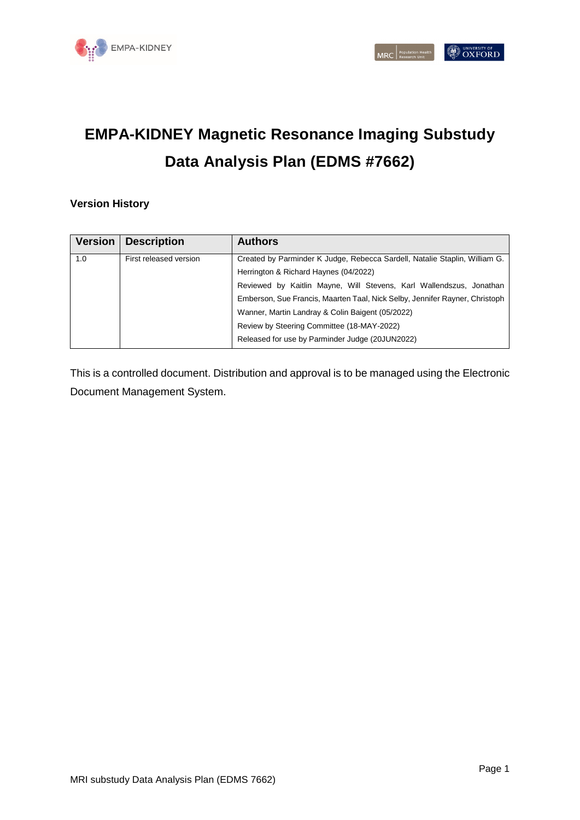

# **EMPA-KIDNEY Magnetic Resonance Imaging Substudy Data Analysis Plan (EDMS #7662)**

#### **Version History**

| <b>Version</b> | <b>Description</b>     | <b>Authors</b>                                                              |
|----------------|------------------------|-----------------------------------------------------------------------------|
| 1.0            | First released version | Created by Parminder K Judge, Rebecca Sardell, Natalie Staplin, William G.  |
|                |                        | Herrington & Richard Haynes (04/2022)                                       |
|                |                        | Reviewed by Kaitlin Mayne, Will Stevens, Karl Wallendszus, Jonathan         |
|                |                        | Emberson, Sue Francis, Maarten Taal, Nick Selby, Jennifer Rayner, Christoph |
|                |                        | Wanner, Martin Landray & Colin Baigent (05/2022)                            |
|                |                        | Review by Steering Committee (18-MAY-2022)                                  |
|                |                        | Released for use by Parminder Judge (20JUN2022)                             |

This is a controlled document. Distribution and approval is to be managed using the Electronic Document Management System.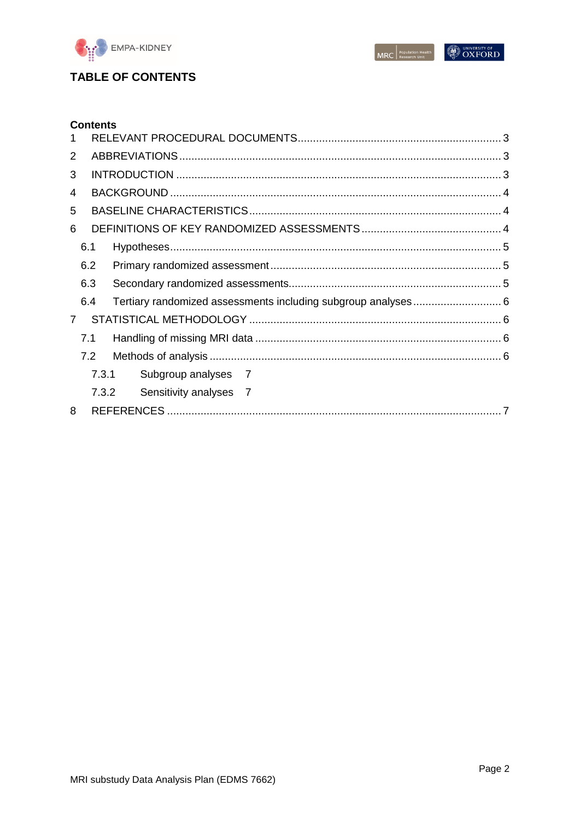

MRC Population Health

# **TABLE OF CONTENTS**

|             | <b>Contents</b> |       |                        |  |  |
|-------------|-----------------|-------|------------------------|--|--|
|             |                 |       |                        |  |  |
| 2           |                 |       |                        |  |  |
| 3           |                 |       |                        |  |  |
| 4           |                 |       |                        |  |  |
| 5           |                 |       |                        |  |  |
| 6           |                 |       |                        |  |  |
|             | 6.1             |       |                        |  |  |
|             | 6.2             |       |                        |  |  |
|             | 6.3             |       |                        |  |  |
|             | 6.4             |       |                        |  |  |
| $7^{\circ}$ |                 |       |                        |  |  |
|             | 7.1             |       |                        |  |  |
|             | 7.2             |       |                        |  |  |
|             |                 | 7.3.1 | Subgroup analyses 7    |  |  |
|             |                 | 7.3.2 | Sensitivity analyses 7 |  |  |
| 8           |                 |       |                        |  |  |
|             |                 |       |                        |  |  |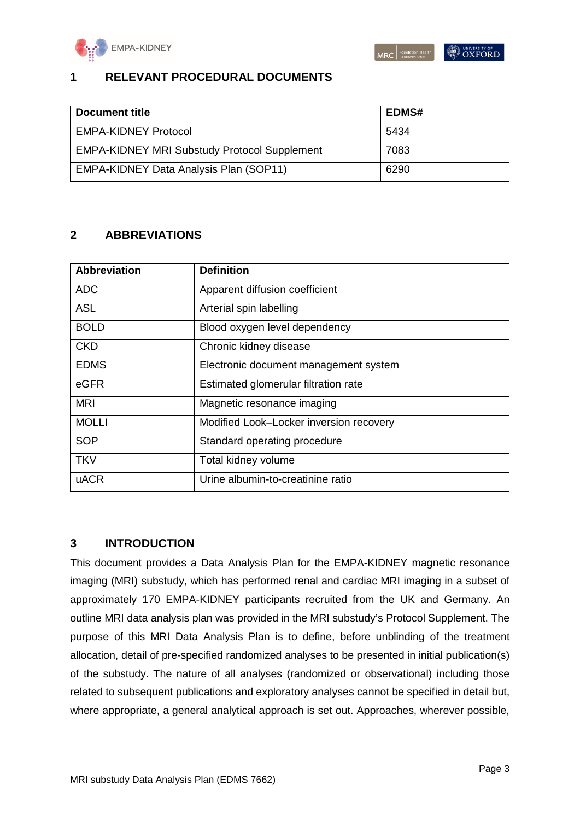

# <span id="page-2-0"></span>**1 RELEVANT PROCEDURAL DOCUMENTS**

| Document title                                      | <b>EDMS#</b> |
|-----------------------------------------------------|--------------|
| <b>EMPA-KIDNEY Protocol</b>                         | 5434         |
| <b>EMPA-KIDNEY MRI Substudy Protocol Supplement</b> | 7083         |
| EMPA-KIDNEY Data Analysis Plan (SOP11)              | 6290         |

# <span id="page-2-1"></span>**2 ABBREVIATIONS**

| <b>Abbreviation</b> | <b>Definition</b>                       |
|---------------------|-----------------------------------------|
| <b>ADC</b>          | Apparent diffusion coefficient          |
| <b>ASL</b>          | Arterial spin labelling                 |
| <b>BOLD</b>         | Blood oxygen level dependency           |
| <b>CKD</b>          | Chronic kidney disease                  |
| <b>EDMS</b>         | Electronic document management system   |
| eGFR                | Estimated glomerular filtration rate    |
| <b>MRI</b>          | Magnetic resonance imaging              |
| <b>MOLLI</b>        | Modified Look-Locker inversion recovery |
| <b>SOP</b>          | Standard operating procedure            |
| <b>TKV</b>          | Total kidney volume                     |
| <b>uACR</b>         | Urine albumin-to-creatinine ratio       |

## <span id="page-2-2"></span>**3 INTRODUCTION**

This document provides a Data Analysis Plan for the EMPA-KIDNEY magnetic resonance imaging (MRI) substudy, which has performed renal and cardiac MRI imaging in a subset of approximately 170 EMPA-KIDNEY participants recruited from the UK and Germany. An outline MRI data analysis plan was provided in the MRI substudy's Protocol Supplement. The purpose of this MRI Data Analysis Plan is to define, before unblinding of the treatment allocation, detail of pre-specified randomized analyses to be presented in initial publication(s) of the substudy. The nature of all analyses (randomized or observational) including those related to subsequent publications and exploratory analyses cannot be specified in detail but, where appropriate, a general analytical approach is set out. Approaches, wherever possible,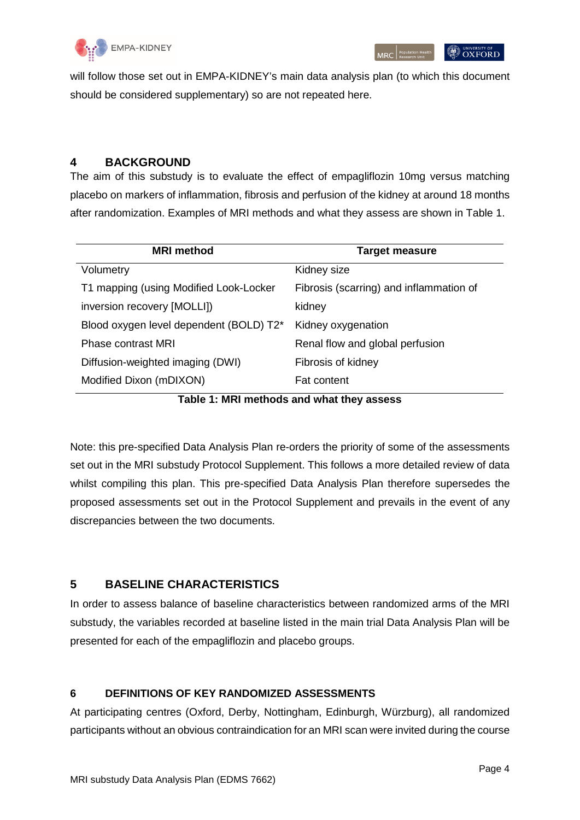

 $|\mathcal{O}_{\text{OXFORD}}|$ 

will follow those set out in EMPA-KIDNEY's main data analysis plan (to which this document should be considered supplementary) so are not repeated here.

#### <span id="page-3-0"></span>**4 BACKGROUND**

The aim of this substudy is to evaluate the effect of empagliflozin 10mg versus matching placebo on markers of inflammation, fibrosis and perfusion of the kidney at around 18 months after randomization. Examples of MRI methods and what they assess are shown in Table 1.

| <b>MRI</b> method                         | <b>Target measure</b>                   |  |  |  |
|-------------------------------------------|-----------------------------------------|--|--|--|
| Volumetry                                 | Kidney size                             |  |  |  |
| T1 mapping (using Modified Look-Locker    | Fibrosis (scarring) and inflammation of |  |  |  |
| inversion recovery [MOLLI])               | kidney                                  |  |  |  |
| Blood oxygen level dependent (BOLD) T2*   | Kidney oxygenation                      |  |  |  |
| Phase contrast MRI                        | Renal flow and global perfusion         |  |  |  |
| Diffusion-weighted imaging (DWI)          | Fibrosis of kidney                      |  |  |  |
| Modified Dixon (mDIXON)                   | <b>Fat content</b>                      |  |  |  |
| Table 1: MRI methods and what they assess |                                         |  |  |  |

Note: this pre-specified Data Analysis Plan re-orders the priority of some of the assessments set out in the MRI substudy Protocol Supplement. This follows a more detailed review of data whilst compiling this plan. This pre-specified Data Analysis Plan therefore supersedes the proposed assessments set out in the Protocol Supplement and prevails in the event of any discrepancies between the two documents.

## <span id="page-3-1"></span>**5 BASELINE CHARACTERISTICS**

In order to assess balance of baseline characteristics between randomized arms of the MRI substudy, the variables recorded at baseline listed in the main trial Data Analysis Plan will be presented for each of the empagliflozin and placebo groups.

#### <span id="page-3-2"></span>**6 DEFINITIONS OF KEY RANDOMIZED ASSESSMENTS**

At participating centres (Oxford, Derby, Nottingham, Edinburgh, Würzburg), all randomized participants without an obvious contraindication for an MRI scan were invited during the course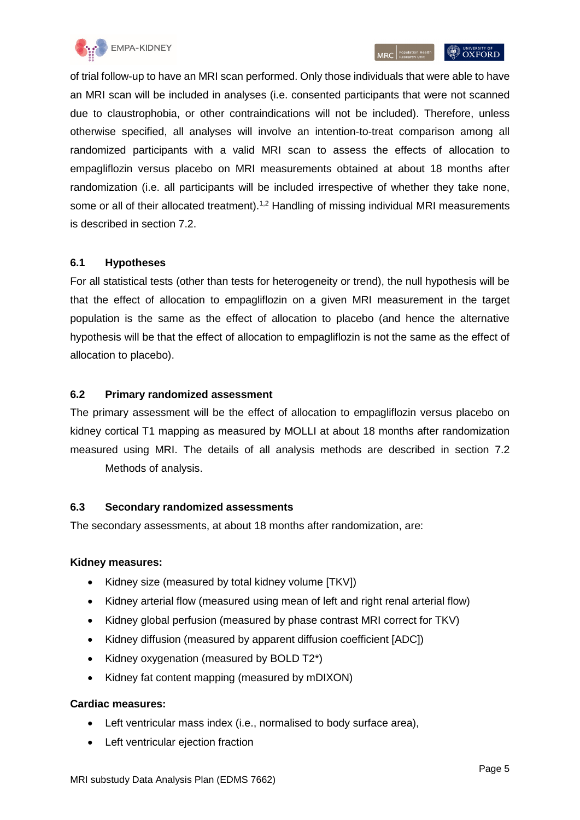

of trial follow-up to have an MRI scan performed. Only those individuals that were able to have an MRI scan will be included in analyses (i.e. consented participants that were not scanned due to claustrophobia, or other contraindications will not be included). Therefore, unless otherwise specified, all analyses will involve an intention-to-treat comparison among all randomized participants with a valid MRI scan to assess the effects of allocation to empagliflozin versus placebo on MRI measurements obtained at about 18 months after randomization (i.e. all participants will be included irrespective of whether they take none, some or all of their allocated treatment).<sup>1,2</sup> Handling of missing individual MRI measurements is described in section 7.2.

#### <span id="page-4-0"></span>**6.1 Hypotheses**

For all statistical tests (other than tests for heterogeneity or trend), the null hypothesis will be that the effect of allocation to empagliflozin on a given MRI measurement in the target population is the same as the effect of allocation to placebo (and hence the alternative hypothesis will be that the effect of allocation to empagliflozin is not the same as the effect of allocation to placebo).

#### <span id="page-4-1"></span>**6.2 Primary randomized assessment**

The primary assessment will be the effect of allocation to empagliflozin versus placebo on kidney cortical T1 mapping as measured by MOLLI at about 18 months after randomization [measured using MRI. The details of all analysis methods are described in section 7.2](#page-5-3) [Meth](#page-5-3)ods of analysis.

#### <span id="page-4-2"></span>**6.3 Secondary randomized assessments**

The secondary assessments, at about 18 months after randomization, are:

#### **Kidney measures:**

- Kidney size (measured by total kidney volume [TKV])
- Kidney arterial flow (measured using mean of left and right renal arterial flow)
- Kidney global perfusion (measured by phase contrast MRI correct for TKV)
- Kidney diffusion (measured by apparent diffusion coefficient [ADC])
- Kidney oxygenation (measured by BOLD T2\*)
- Kidney fat content mapping (measured by mDIXON)

#### **Cardiac measures:**

- Left ventricular mass index (i.e., normalised to body surface area),
- Left ventricular ejection fraction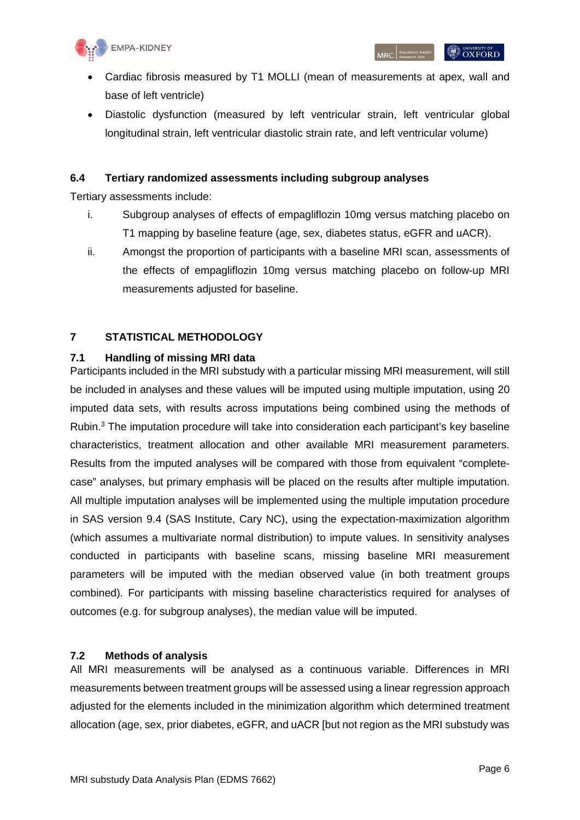

- Cardiac fibrosis measured by T1 MOLLI (mean of measurements at apex, wall and base of left ventricle)
- Diastolic dysfunction (measured by left ventricular strain, left ventricular global longitudinal strain, left ventricular diastolic strain rate, and left ventricular volume)

#### <span id="page-5-0"></span>**6.4 Tertiary randomized assessments including subgroup analyses**

Tertiary assessments include:

- i. Subgroup analyses of effects of empagliflozin 10mg versus matching placebo on T1 mapping by baseline feature (age, sex, diabetes status, eGFR and uACR).
- ii. Amongst the proportion of participants with a baseline MRI scan, assessments of the effects of empagliflozin 10mg versus matching placebo on follow-up MRI measurements adjusted for baseline.

#### <span id="page-5-1"></span>**7 STATISTICAL METHODOLOGY**

#### <span id="page-5-2"></span>**7.1 Handling of missing MRI data**

Participants included in the MRI substudy with a particular missing MRI measurement, will still be included in analyses and these values will be imputed using multiple imputation, using 20 imputed data sets, with results across imputations being combined using the methods of Rubin.<sup>3</sup> The imputation procedure will take into consideration each participant's key baseline characteristics, treatment allocation and other available MRI measurement parameters. [Results from the imputed analyses will be compared with those from equivalent "complete](#page-5-4)[case" analyses, but primary emphasis will be placed on the results after multiple imputation.](#page-5-4)  [All multiple imputation analyses will be implemented using the multiple imputation procedure](#page-5-4)  [in SAS version 9.4 \(SAS Institute, Cary NC\), using the expectation-maximization algorithm](#page-5-4)  [\(which assumes a multivariate normal distribution\) to impute values. In sensitivity analyses](#page-5-4)  [conducted in participants with baseline scans, missing baseline MRI measurement](#page-5-4)  [parameters will be imputed with the median observed value \(in both treatment groups](#page-5-4)  [combined\). For participants with missing baseline characteristics required for analyses of](#page-5-4)  [outcomes \(e.g. for subgroup analyses\), the median value will be imputed.](#page-5-4) 

#### <span id="page-5-4"></span><span id="page-5-3"></span>**7.2 Methods of analysis**

All MRI measurements will be analysed as a continuous variable. Differences in MRI measurements between treatment groups will be assessed using a linear regression approach adjusted for the elements included in the minimization algorithm which determined treatment allocation (age, sex, prior diabetes, eGFR, and uACR [but not region as the MRI substudy was